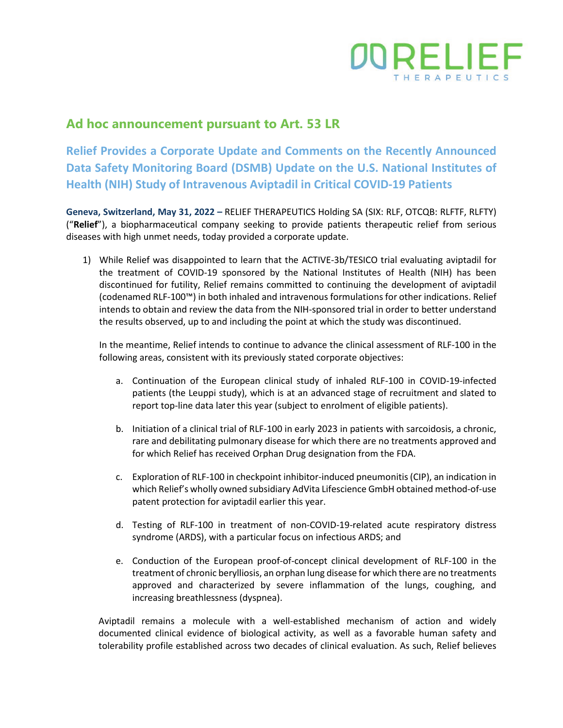

## **Ad hoc announcement pursuant to Art. 53 LR**

**Relief Provides a Corporate Update and Comments on the Recently Announced Data Safety Monitoring Board (DSMB) Update on the U.S. National Institutes of Health (NIH) Study of Intravenous Aviptadil in Critical COVID-19 Patients**

**Geneva, Switzerland, May 31, 2022 –** RELIEF THERAPEUTICS Holding SA (SIX: RLF, OTCQB: RLFTF, RLFTY) ("**Relief**"), a biopharmaceutical company seeking to provide patients therapeutic relief from serious diseases with high unmet needs, today provided a corporate update.

1) While Relief was disappointed to learn that the ACTIVE-3b/TESICO trial evaluating aviptadil for the treatment of COVID-19 sponsored by the National Institutes of Health (NIH) has been discontinued for futility, Relief remains committed to continuing the development of aviptadil (codenamed RLF-100™) in both inhaled and intravenous formulations for other indications. Relief intends to obtain and review the data from the NIH-sponsored trial in order to better understand the results observed, up to and including the point at which the study was discontinued.

In the meantime, Relief intends to continue to advance the clinical assessment of RLF-100 in the following areas, consistent with its previously stated corporate objectives:

- a. Continuation of the European clinical study of inhaled RLF-100 in COVID-19-infected patients (the Leuppi study), which is at an advanced stage of recruitment and slated to report top-line data later this year (subject to enrolment of eligible patients).
- b. Initiation of a clinical trial of RLF-100 in early 2023 in patients with sarcoidosis, a chronic, rare and debilitating pulmonary disease for which there are no treatments approved and for which Relief has received Orphan Drug designation from the FDA.
- c. Exploration of RLF-100 in checkpoint inhibitor-induced pneumonitis (CIP), an indication in which Relief's wholly owned subsidiary AdVita Lifescience GmbH obtained method-of-use patent protection for aviptadil earlier this year.
- d. Testing of RLF-100 in treatment of non-COVID-19-related acute respiratory distress syndrome (ARDS), with a particular focus on infectious ARDS; and
- e. Conduction of the European proof-of-concept clinical development of RLF-100 in the treatment of chronic berylliosis, an orphan lung disease for which there are no treatments approved and characterized by severe inflammation of the lungs, coughing, and increasing breathlessness (dyspnea).

Aviptadil remains a molecule with a well-established mechanism of action and widely documented clinical evidence of biological activity, as well as a favorable human safety and tolerability profile established across two decades of clinical evaluation. As such, Relief believes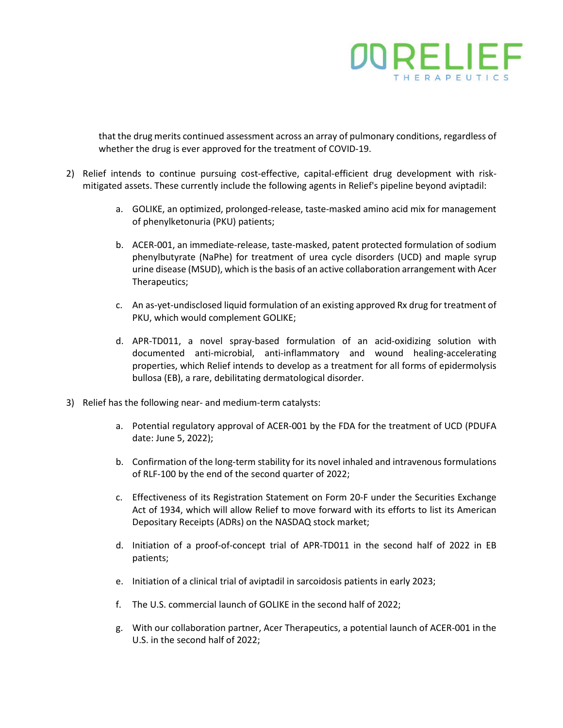

that the drug merits continued assessment across an array of pulmonary conditions, regardless of whether the drug is ever approved for the treatment of COVID-19.

- 2) Relief intends to continue pursuing cost-effective, capital-efficient drug development with riskmitigated assets. These currently include the following agents in Relief's pipeline beyond aviptadil:
	- a. GOLIKE, an optimized, prolonged-release, taste-masked amino acid mix for management of phenylketonuria (PKU) patients;
	- b. ACER-001, an immediate-release, taste-masked, patent protected formulation of sodium phenylbutyrate (NaPhe) for treatment of urea cycle disorders (UCD) and maple syrup urine disease (MSUD), which is the basis of an active collaboration arrangement with Acer Therapeutics;
	- c. An as-yet-undisclosed liquid formulation of an existing approved Rx drug for treatment of PKU, which would complement GOLIKE;
	- d. APR-TD011, a novel spray-based formulation of an acid-oxidizing solution with documented anti-microbial, anti-inflammatory and wound healing-accelerating properties, which Relief intends to develop as a treatment for all forms of epidermolysis bullosa (EB), a rare, debilitating dermatological disorder.
- 3) Relief has the following near- and medium-term catalysts:
	- a. Potential regulatory approval of ACER-001 by the FDA for the treatment of UCD (PDUFA date: June 5, 2022);
	- b. Confirmation of the long-term stability for its novel inhaled and intravenous formulations of RLF-100 by the end of the second quarter of 2022;
	- c. Effectiveness of its Registration Statement on Form 20-F under the Securities Exchange Act of 1934, which will allow Relief to move forward with its efforts to list its American Depositary Receipts (ADRs) on the NASDAQ stock market;
	- d. Initiation of a proof-of-concept trial of APR-TD011 in the second half of 2022 in EB patients;
	- e. Initiation of a clinical trial of aviptadil in sarcoidosis patients in early 2023;
	- f. The U.S. commercial launch of GOLIKE in the second half of 2022;
	- g. With our collaboration partner, Acer Therapeutics, a potential launch of ACER-001 in the U.S. in the second half of 2022;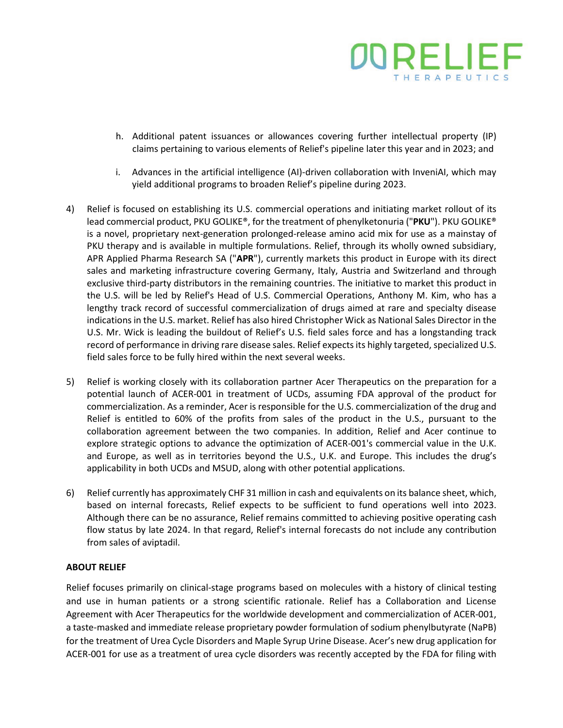

- h. Additional patent issuances or allowances covering further intellectual property (IP) claims pertaining to various elements of Relief's pipeline later this year and in 2023; and
- i. Advances in the artificial intelligence (AI)-driven collaboration with InveniAI, which may yield additional programs to broaden Relief's pipeline during 2023.
- 4) Relief is focused on establishing its U.S. commercial operations and initiating market rollout of its lead commercial product, PKU GOLIKE®, for the treatment of phenylketonuria ("**PKU**"). PKU GOLIKE® is a novel, proprietary next-generation prolonged-release amino acid mix for use as a mainstay of PKU therapy and is available in multiple formulations. Relief, through its wholly owned subsidiary, APR Applied Pharma Research SA ("**APR**"), currently markets this product in Europe with its direct sales and marketing infrastructure covering Germany, Italy, Austria and Switzerland and through exclusive third-party distributors in the remaining countries. The initiative to market this product in the U.S. will be led by Relief's Head of U.S. Commercial Operations, Anthony M. Kim, who has a lengthy track record of successful commercialization of drugs aimed at rare and specialty disease indications in the U.S. market. Relief has also hired Christopher Wick as National Sales Director in the U.S. Mr. Wick is leading the buildout of Relief's U.S. field sales force and has a longstanding track record of performance in driving rare disease sales. Relief expects its highly targeted, specialized U.S. field sales force to be fully hired within the next several weeks.
- 5) Relief is working closely with its collaboration partner Acer Therapeutics on the preparation for a potential launch of ACER-001 in treatment of UCDs, assuming FDA approval of the product for commercialization. As a reminder, Acer is responsible for the U.S. commercialization of the drug and Relief is entitled to 60% of the profits from sales of the product in the U.S., pursuant to the collaboration agreement between the two companies. In addition, Relief and Acer continue to explore strategic options to advance the optimization of ACER-001's commercial value in the U.K. and Europe, as well as in territories beyond the U.S., U.K. and Europe. This includes the drug's applicability in both UCDs and MSUD, along with other potential applications.
- 6) Relief currently has approximately CHF 31 million in cash and equivalents on its balance sheet, which, based on internal forecasts, Relief expects to be sufficient to fund operations well into 2023. Although there can be no assurance, Relief remains committed to achieving positive operating cash flow status by late 2024. In that regard, Relief's internal forecasts do not include any contribution from sales of aviptadil.

## **ABOUT RELIEF**

Relief focuses primarily on clinical-stage programs based on molecules with a history of clinical testing and use in human patients or a strong scientific rationale. Relief has a Collaboration and License Agreement with Acer Therapeutics for the worldwide development and commercialization of ACER-001, a taste-masked and immediate release proprietary powder formulation of sodium phenylbutyrate (NaPB) for the treatment of Urea Cycle Disorders and Maple Syrup Urine Disease. Acer's new drug application for ACER-001 for use as a treatment of urea cycle disorders was recently accepted by the FDA for filing with